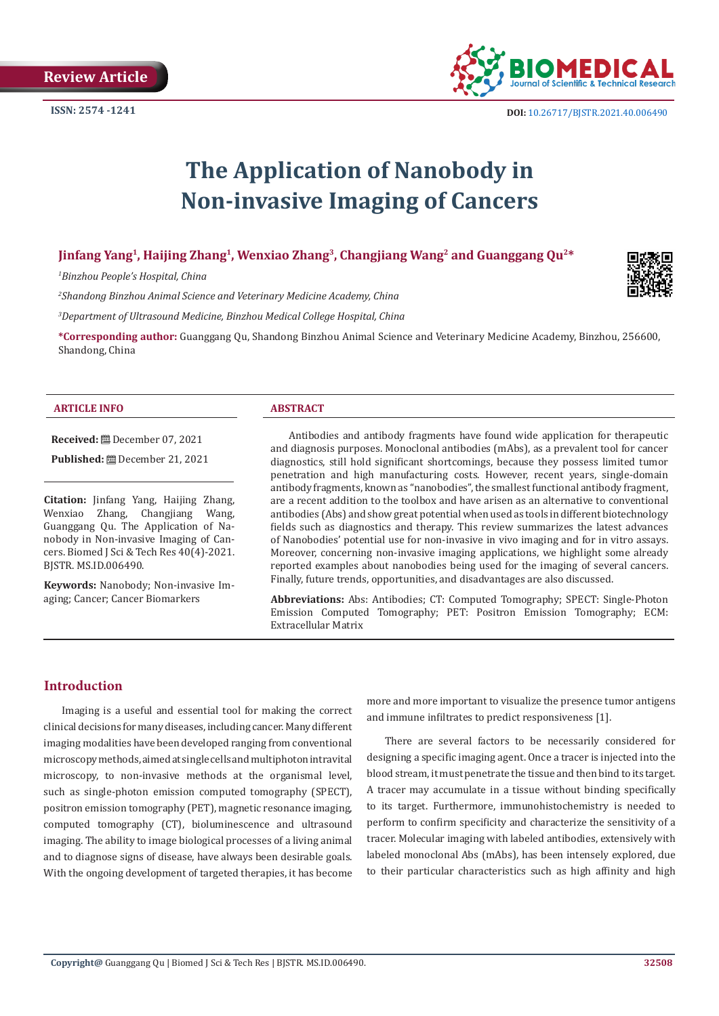

# **The Application of Nanobody in Non-invasive Imaging of Cancers**

# **Jinfang Yang1, Haijing Zhang1, Wenxiao Zhang3, Changjiang Wang2 and Guanggang Qu2\***

*1 Binzhou People's Hospital, China*

*2 Shandong Binzhou Animal Science and Veterinary Medicine Academy, China*

*3 Department of Ultrasound Medicine, Binzhou Medical College Hospital, China*

**\*Corresponding author:** Guanggang Qu, Shandong Binzhou Animal Science and Veterinary Medicine Academy, Binzhou, 256600, Shandong, China

#### **ARTICLE INFO ABSTRACT**

**Received:** December 07, 2021 **Published:** December 21, 2021

**Citation:** Jinfang Yang, Haijing Zhang, Wenxiao Zhang, Changjiang Wang, Guanggang Qu. The Application of Nanobody in Non-invasive Imaging of Cancers. Biomed J Sci & Tech Res 40(4)-2021. BJSTR. MS.ID.006490.

**Keywords:** Nanobody; Non-invasive Imaging; Cancer; Cancer Biomarkers

Antibodies and antibody fragments have found wide application for therapeutic and diagnosis purposes. Monoclonal antibodies (mAbs), as a prevalent tool for cancer diagnostics, still hold significant shortcomings, because they possess limited tumor penetration and high manufacturing costs. However, recent years, single-domain antibody fragments, known as "nanobodies", the smallest functional antibody fragment, are a recent addition to the toolbox and have arisen as an alternative to conventional antibodies (Abs) and show great potential when used as tools in different biotechnology fields such as diagnostics and therapy. This review summarizes the latest advances of Nanobodies' potential use for non-invasive in vivo imaging and for in vitro assays. Moreover, concerning non-invasive imaging applications, we highlight some already reported examples about nanobodies being used for the imaging of several cancers. Finally, future trends, opportunities, and disadvantages are also discussed.

**Abbreviations:** Abs: Antibodies; CT: Computed Tomography; SPECT: Single-Photon Emission Computed Tomography; PET: Positron Emission Tomography; ECM: Extracellular Matrix

## **Introduction**

Imaging is a useful and essential tool for making the correct clinical decisions for many diseases, including cancer. Many different imaging modalities have been developed ranging from conventional microscopy methods, aimed at single cells and multiphoton intravital microscopy, to non-invasive methods at the organismal level, such as single-photon emission computed tomography (SPECT), positron emission tomography (PET), magnetic resonance imaging, computed tomography (CT), bioluminescence and ultrasound imaging. The ability to image biological processes of a living animal and to diagnose signs of disease, have always been desirable goals. With the ongoing development of targeted therapies, it has become

more and more important to visualize the presence tumor antigens and immune infiltrates to predict responsiveness [1].

There are several factors to be necessarily considered for designing a specific imaging agent. Once a tracer is injected into the blood stream, it must penetrate the tissue and then bind to its target. A tracer may accumulate in a tissue without binding specifically to its target. Furthermore, immunohistochemistry is needed to perform to confirm specificity and characterize the sensitivity of a tracer. Molecular imaging with labeled antibodies, extensively with labeled monoclonal Abs (mAbs), has been intensely explored, due to their particular characteristics such as high affinity and high

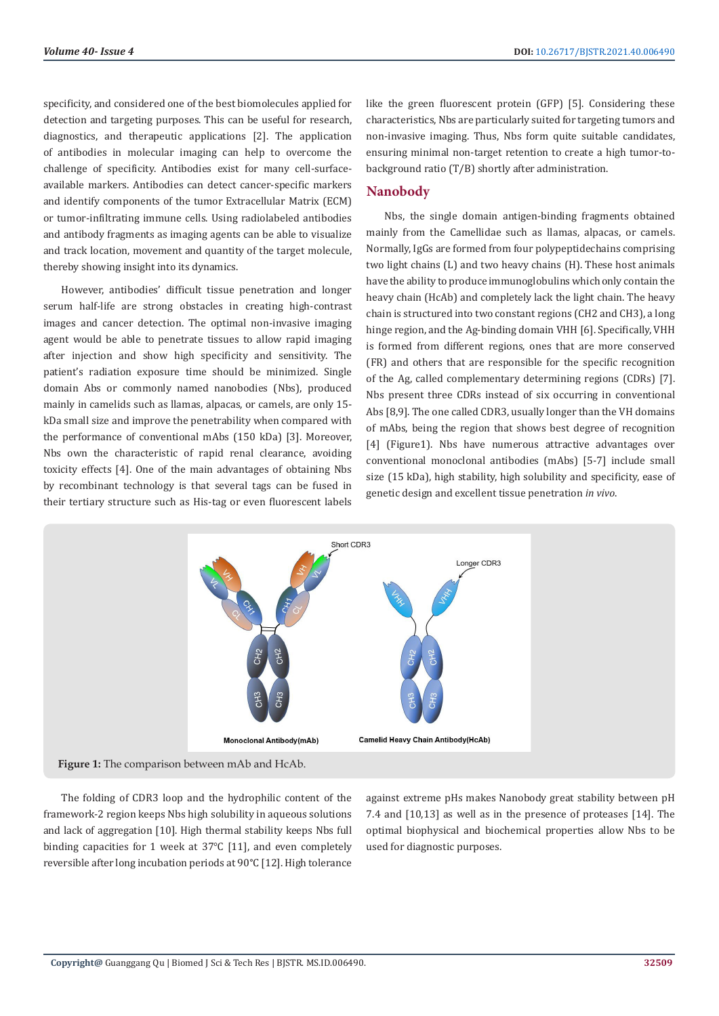specificity, and considered one of the best biomolecules applied for detection and targeting purposes. This can be useful for research, diagnostics, and therapeutic applications [2]. The application of antibodies in molecular imaging can help to overcome the challenge of specificity. Antibodies exist for many cell-surfaceavailable markers. Antibodies can detect cancer-specific markers and identify components of the tumor Extracellular Matrix (ECM) or tumor-infiltrating immune cells. Using radiolabeled antibodies and antibody fragments as imaging agents can be able to visualize and track location, movement and quantity of the target molecule, thereby showing insight into its dynamics.

However, antibodies' difficult tissue penetration and longer serum half-life are strong obstacles in creating high-contrast images and cancer detection. The optimal non-invasive imaging agent would be able to penetrate tissues to allow rapid imaging after injection and show high specificity and sensitivity. The patient's radiation exposure time should be minimized. Single domain Abs or commonly named nanobodies (Nbs), produced mainly in camelids such as llamas, alpacas, or camels, are only 15 kDa small size and improve the penetrability when compared with the performance of conventional mAbs (150 kDa) [3]. Moreover, Nbs own the characteristic of rapid renal clearance, avoiding toxicity effects [4]. One of the main advantages of obtaining Nbs by recombinant technology is that several tags can be fused in their tertiary structure such as His-tag or even fluorescent labels

like the green fluorescent protein (GFP) [5]. Considering these characteristics, Nbs are particularly suited for targeting tumors and non-invasive imaging. Thus, Nbs form quite suitable candidates, ensuring minimal non-target retention to create a high tumor-tobackground ratio (T/B) shortly after administration.

#### **Nanobody**

Nbs, the single domain antigen-binding fragments obtained mainly from the Camellidae such as llamas, alpacas, or camels. Normally, IgGs are formed from four polypeptidechains comprising two light chains (L) and two heavy chains (H). These host animals have the ability to produce immunoglobulins which only contain the heavy chain (HcAb) and completely lack the light chain. The heavy chain is structured into two constant regions (CH2 and CH3), a long hinge region, and the Ag-binding domain VHH [6]. Specifically, VHH is formed from different regions, ones that are more conserved (FR) and others that are responsible for the specific recognition of the Ag, called complementary determining regions (CDRs) [7]. Nbs present three CDRs instead of six occurring in conventional Abs [8,9]. The one called CDR3, usually longer than the VH domains of mAbs, being the region that shows best degree of recognition [4] (Figure1). Nbs have numerous attractive advantages over conventional monoclonal antibodies (mAbs) [5-7] include small size (15 kDa), high stability, high solubility and specificity, ease of genetic design and excellent tissue penetration *in vivo*.



The folding of CDR3 loop and the hydrophilic content of the framework-2 region keeps Nbs high solubility in aqueous solutions and lack of aggregation [10]. High thermal stability keeps Nbs full binding capacities for 1 week at 37℃ [11], and even completely reversible after long incubation periods at 90°C [12]. High tolerance

against extreme pHs makes Nanobody great stability between pH 7.4 and [10,13] as well as in the presence of proteases [14]. The optimal biophysical and biochemical properties allow Nbs to be used for diagnostic purposes.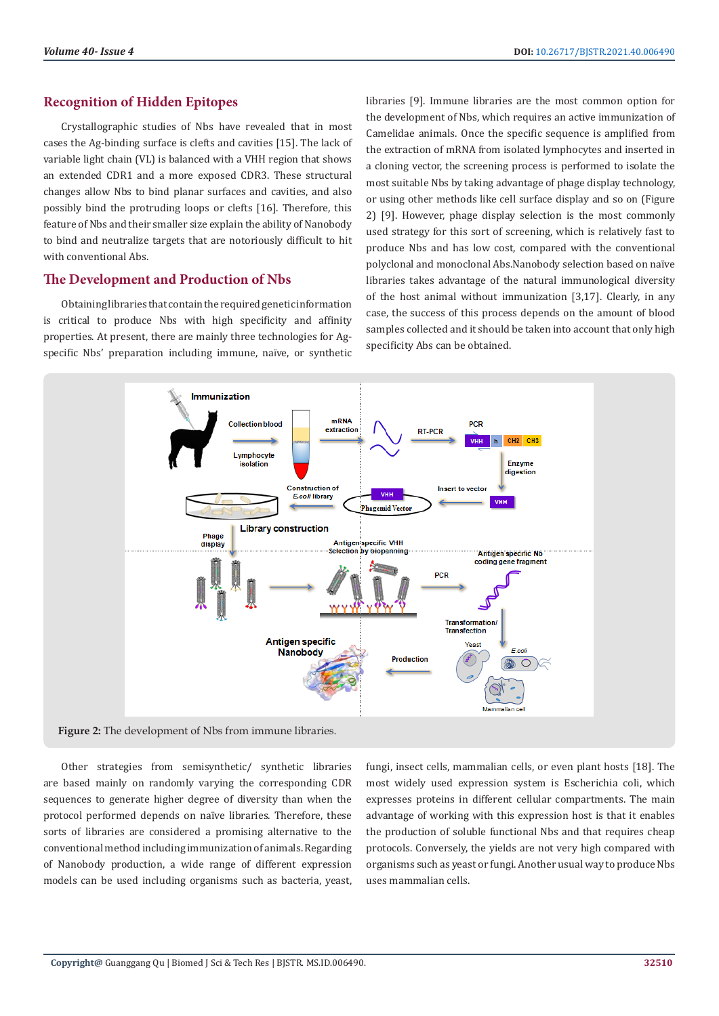# **Recognition of Hidden Epitopes**

Crystallographic studies of Nbs have revealed that in most cases the Ag-binding surface is clefts and cavities [15]. The lack of variable light chain (VL) is balanced with a VHH region that shows an extended CDR1 and a more exposed CDR3. These structural changes allow Nbs to bind planar surfaces and cavities, and also possibly bind the protruding loops or clefts [16]. Therefore, this feature of Nbs and their smaller size explain the ability of Nanobody to bind and neutralize targets that are notoriously difficult to hit with conventional Abs.

# **The Development and Production of Nbs**

Obtaining libraries that contain the required genetic information is critical to produce Nbs with high specificity and affinity properties. At present, there are mainly three technologies for Agspecific Nbs' preparation including immune, naïve, or synthetic libraries [9]. Immune libraries are the most common option for the development of Nbs, which requires an active immunization of Camelidae animals. Once the specific sequence is amplified from the extraction of mRNA from isolated lymphocytes and inserted in a cloning vector, the screening process is performed to isolate the most suitable Nbs by taking advantage of phage display technology, or using other methods like cell surface display and so on (Figure 2) [9]. However, phage display selection is the most commonly used strategy for this sort of screening, which is relatively fast to produce Nbs and has low cost, compared with the conventional polyclonal and monoclonal Abs.Nanobody selection based on naïve libraries takes advantage of the natural immunological diversity of the host animal without immunization [3,17]. Clearly, in any case, the success of this process depends on the amount of blood samples collected and it should be taken into account that only high specificity Abs can be obtained.



Other strategies from semisynthetic/ synthetic libraries are based mainly on randomly varying the corresponding CDR sequences to generate higher degree of diversity than when the protocol performed depends on naïve libraries. Therefore, these sorts of libraries are considered a promising alternative to the conventional method including immunization of animals. Regarding of Nanobody production, a wide range of different expression models can be used including organisms such as bacteria, yeast,

fungi, insect cells, mammalian cells, or even plant hosts [18]. The most widely used expression system is Escherichia coli, which expresses proteins in different cellular compartments. The main advantage of working with this expression host is that it enables the production of soluble functional Nbs and that requires cheap protocols. Conversely, the yields are not very high compared with organisms such as yeast or fungi. Another usual way to produce Nbs uses mammalian cells.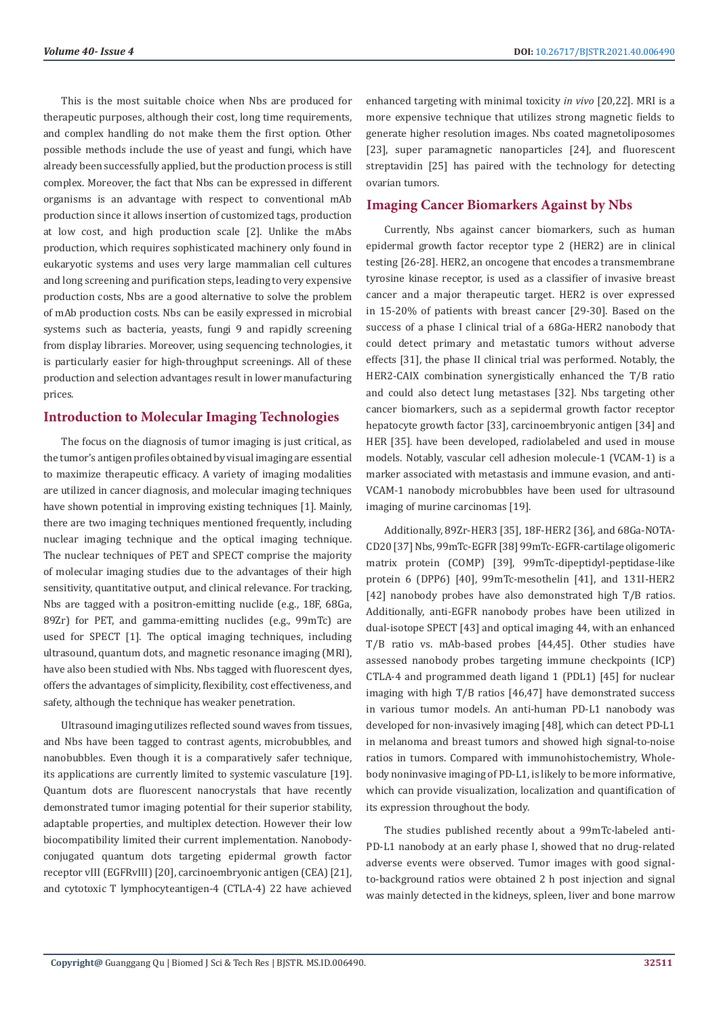This is the most suitable choice when Nbs are produced for therapeutic purposes, although their cost, long time requirements, and complex handling do not make them the first option. Other possible methods include the use of yeast and fungi, which have already been successfully applied, but the production process is still complex. Moreover, the fact that Nbs can be expressed in different organisms is an advantage with respect to conventional mAb production since it allows insertion of customized tags, production at low cost, and high production scale [2]. Unlike the mAbs production, which requires sophisticated machinery only found in eukaryotic systems and uses very large mammalian cell cultures and long screening and purification steps, leading to very expensive production costs, Nbs are a good alternative to solve the problem of mAb production costs. Nbs can be easily expressed in microbial systems such as bacteria, yeasts, fungi 9 and rapidly screening from display libraries. Moreover, using sequencing technologies, it is particularly easier for high-throughput screenings. All of these production and selection advantages result in lower manufacturing prices.

### **Introduction to Molecular Imaging Technologies**

The focus on the diagnosis of tumor imaging is just critical, as the tumor's antigen profiles obtained by visual imaging are essential to maximize therapeutic efficacy. A variety of imaging modalities are utilized in cancer diagnosis, and molecular imaging techniques have shown potential in improving existing techniques [1]. Mainly, there are two imaging techniques mentioned frequently, including nuclear imaging technique and the optical imaging technique. The nuclear techniques of PET and SPECT comprise the majority of molecular imaging studies due to the advantages of their high sensitivity, quantitative output, and clinical relevance. For tracking, Nbs are tagged with a positron-emitting nuclide (e.g., 18F, 68Ga, 89Zr) for PET, and gamma-emitting nuclides (e.g., 99mTc) are used for SPECT [1]. The optical imaging techniques, including ultrasound, quantum dots, and magnetic resonance imaging (MRI), have also been studied with Nbs. Nbs tagged with fluorescent dyes, offers the advantages of simplicity, flexibility, cost effectiveness, and safety, although the technique has weaker penetration.

Ultrasound imaging utilizes reflected sound waves from tissues, and Nbs have been tagged to contrast agents, microbubbles, and nanobubbles. Even though it is a comparatively safer technique, its applications are currently limited to systemic vasculature [19]. Quantum dots are fluorescent nanocrystals that have recently demonstrated tumor imaging potential for their superior stability, adaptable properties, and multiplex detection. However their low biocompatibility limited their current implementation. Nanobodyconjugated quantum dots targeting epidermal growth factor receptor vIII (EGFRvIII) [20], carcinoembryonic antigen (CEA) [21], and cytotoxic T lymphocyteantigen-4 (CTLA-4) 22 have achieved enhanced targeting with minimal toxicity *in vivo* [20,22]. MRI is a more expensive technique that utilizes strong magnetic fields to generate higher resolution images. Nbs coated magnetoliposomes [23], super paramagnetic nanoparticles [24], and fluorescent streptavidin [25] has paired with the technology for detecting ovarian tumors.

### **Imaging Cancer Biomarkers Against by Nbs**

Currently, Nbs against cancer biomarkers, such as human epidermal growth factor receptor type 2 (HER2) are in clinical testing [26-28]. HER2, an oncogene that encodes a transmembrane tyrosine kinase receptor, is used as a classifier of invasive breast cancer and a major therapeutic target. HER2 is over expressed in 15-20% of patients with breast cancer [29-30]. Based on the success of a phase I clinical trial of a 68Ga-HER2 nanobody that could detect primary and metastatic tumors without adverse effects [31], the phase II clinical trial was performed. Notably, the HER2-CAIX combination synergistically enhanced the T/B ratio and could also detect lung metastases [32]. Nbs targeting other cancer biomarkers, such as a sepidermal growth factor receptor hepatocyte growth factor [33], carcinoembryonic antigen [34] and HER [35]. have been developed, radiolabeled and used in mouse models. Notably, vascular cell adhesion molecule-1 (VCAM-1) is a marker associated with metastasis and immune evasion, and anti-VCAM-1 nanobody microbubbles have been used for ultrasound imaging of murine carcinomas [19].

Additionally, 89Zr-HER3 [35], 18F-HER2 [36], and 68Ga-NOTA-CD20 [37] Nbs, 99mTc-EGFR [38] 99mTc-EGFR-cartilage oligomeric matrix protein (COMP) [39], 99mTc-dipeptidyl-peptidase-like protein 6 (DPP6) [40], 99mTc-mesothelin [41], and 131I-HER2 [42] nanobody probes have also demonstrated high T/B ratios. Additionally, anti-EGFR nanobody probes have been utilized in dual-isotope SPECT [43] and optical imaging 44, with an enhanced T/B ratio vs. mAb-based probes [44,45]. Other studies have assessed nanobody probes targeting immune checkpoints (ICP) CTLA-4 and programmed death ligand 1 (PDL1) [45] for nuclear imaging with high T/B ratios [46,47] have demonstrated success in various tumor models. An anti-human PD-L1 nanobody was developed for non-invasively imaging [48], which can detect PD-L1 in melanoma and breast tumors and showed high signal-to-noise ratios in tumors. Compared with immunohistochemistry, Wholebody noninvasive imaging of PD-L1, is likely to be more informative, which can provide visualization, localization and quantification of its expression throughout the body.

The studies published recently about a 99mTc-labeled anti-PD-L1 nanobody at an early phase I, showed that no drug-related adverse events were observed. Tumor images with good signalto-background ratios were obtained 2 h post injection and signal was mainly detected in the kidneys, spleen, liver and bone marrow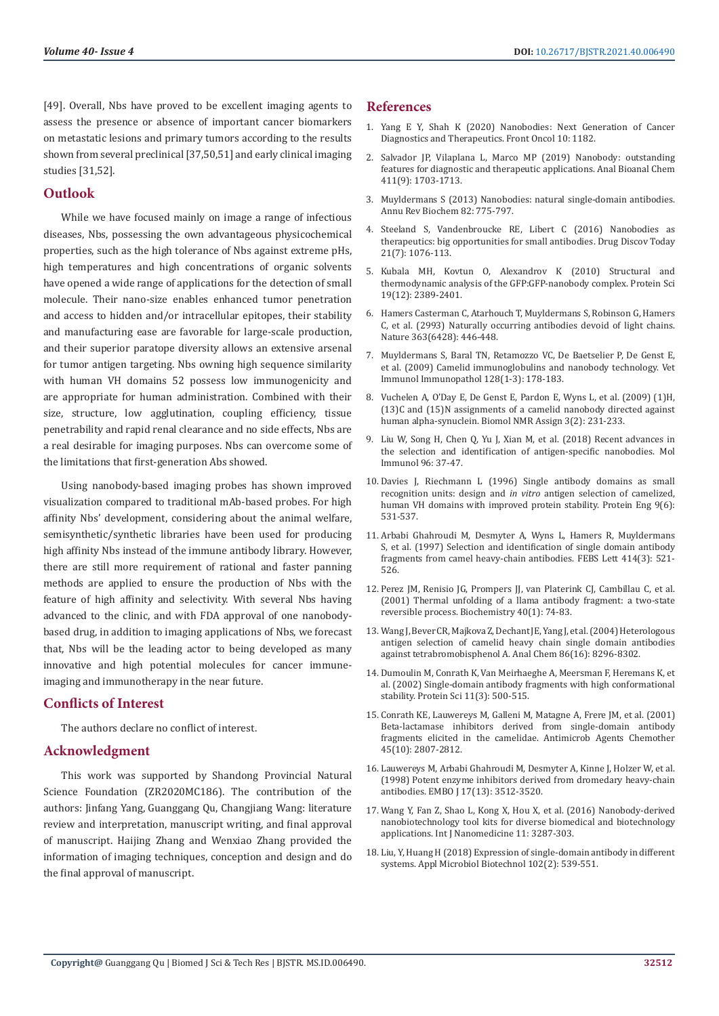[49]. Overall, Nbs have proved to be excellent imaging agents to assess the presence or absence of important cancer biomarkers on metastatic lesions and primary tumors according to the results shown from several preclinical [37,50,51] and early clinical imaging studies [31,52].

#### **Outlook**

While we have focused mainly on image a range of infectious diseases, Nbs, possessing the own advantageous physicochemical properties, such as the high tolerance of Nbs against extreme pHs, high temperatures and high concentrations of organic solvents have opened a wide range of applications for the detection of small molecule. Their nano-size enables enhanced tumor penetration and access to hidden and/or intracellular epitopes, their stability and manufacturing ease are favorable for large-scale production, and their superior paratope diversity allows an extensive arsenal for tumor antigen targeting. Nbs owning high sequence similarity with human VH domains 52 possess low immunogenicity and are appropriate for human administration. Combined with their size, structure, low agglutination, coupling efficiency, tissue penetrability and rapid renal clearance and no side effects, Nbs are a real desirable for imaging purposes. Nbs can overcome some of the limitations that first-generation Abs showed.

Using nanobody-based imaging probes has shown improved visualization compared to traditional mAb-based probes. For high affinity Nbs' development, considering about the animal welfare, semisynthetic/synthetic libraries have been used for producing high affinity Nbs instead of the immune antibody library. However, there are still more requirement of rational and faster panning methods are applied to ensure the production of Nbs with the feature of high affinity and selectivity. With several Nbs having advanced to the clinic, and with FDA approval of one nanobodybased drug, in addition to imaging applications of Nbs, we forecast that, Nbs will be the leading actor to being developed as many innovative and high potential molecules for cancer immuneimaging and immunotherapy in the near future.

#### **Conflicts of Interest**

The authors declare no conflict of interest.

### **Acknowledgment**

This work was supported by Shandong Provincial Natural Science Foundation (ZR2020MC186). The contribution of the authors: Jinfang Yang, Guanggang Qu, Changjiang Wang: literature review and interpretation, manuscript writing, and final approval of manuscript. Haijing Zhang and Wenxiao Zhang provided the information of imaging techniques, conception and design and do the final approval of manuscript.

#### **References**

- 1. [Yang E Y, Shah K \(2020\) Nanobodies: Next Generation of Cancer](https://www.ncbi.nlm.nih.gov/pmc/articles/PMC7390931/) [Diagnostics and Therapeutics. Front Oncol 10: 1182.](https://www.ncbi.nlm.nih.gov/pmc/articles/PMC7390931/)
- 2. [Salvador JP, Vilaplana L, Marco MP \(2019\) Nanobody: outstanding](https://pubmed.ncbi.nlm.nih.gov/30734854/) [features for diagnostic and therapeutic applications. Anal Bioanal Chem](https://pubmed.ncbi.nlm.nih.gov/30734854/) [411\(9\): 1703-1713.](https://pubmed.ncbi.nlm.nih.gov/30734854/)
- 3. [Muyldermans S \(2013\) Nanobodies: natural single-domain antibodies.](https://pubmed.ncbi.nlm.nih.gov/23495938/) [Annu Rev Biochem 82: 775-797.](https://pubmed.ncbi.nlm.nih.gov/23495938/)
- 4. [Steeland S, Vandenbroucke RE, Libert C \(2016\) Nanobodies as](https://pubmed.ncbi.nlm.nih.gov/27080147/) [therapeutics: big opportunities for small antibodies. Drug Discov Today](https://pubmed.ncbi.nlm.nih.gov/27080147/) [21\(7\): 1076-113.](https://pubmed.ncbi.nlm.nih.gov/27080147/)
- 5. [Kubala MH, Kovtun O, Alexandrov K \(2010\) Structural and](https://pubmed.ncbi.nlm.nih.gov/20945358/) [thermodynamic analysis of the GFP:GFP-nanobody complex. Protein Sci](https://pubmed.ncbi.nlm.nih.gov/20945358/) [19\(12\): 2389-2401.](https://pubmed.ncbi.nlm.nih.gov/20945358/)
- 6. [Hamers Casterman C, Atarhouch T, Muyldermans S, Robinson G, Hamers](https://pubmed.ncbi.nlm.nih.gov/8502296/) [C, et al. \(2993\) Naturally occurring antibodies devoid of light chains.](https://pubmed.ncbi.nlm.nih.gov/8502296/) [Nature 363\(6428\): 446-448.](https://pubmed.ncbi.nlm.nih.gov/8502296/)
- 7. [Muyldermans S, Baral TN, Retamozzo VC, De Baetselier P, De Genst E,](https://pubmed.ncbi.nlm.nih.gov/19026455/) [et al. \(2009\) Camelid immunoglobulins and nanobody technology. Vet](https://pubmed.ncbi.nlm.nih.gov/19026455/) [Immunol Immunopathol 128\(1-3\): 178-183.](https://pubmed.ncbi.nlm.nih.gov/19026455/)
- 8. [Vuchelen A, O'Day E, De Genst E, Pardon E, Wyns L, et al. \(2009\) \(1\)H,](https://pubmed.ncbi.nlm.nih.gov/19763886/) [\(13\)C and \(15\)N assignments of a camelid nanobody directed against](https://pubmed.ncbi.nlm.nih.gov/19763886/) [human alpha-synuclein. Biomol NMR Assign 3\(2\): 231-233.](https://pubmed.ncbi.nlm.nih.gov/19763886/)
- 9. [Liu W, Song H, Chen Q, Yu J, Xian M, et al. \(2018\) Recent advances in](https://pubmed.ncbi.nlm.nih.gov/29477934/) [the selection and identification of antigen-specific nanobodies. Mol](https://pubmed.ncbi.nlm.nih.gov/29477934/) [Immunol 96: 37-47.](https://pubmed.ncbi.nlm.nih.gov/29477934/)
- 10. [Davies J, Riechmann L \(1996\) Single antibody domains as small](https://pubmed.ncbi.nlm.nih.gov/8862554/) recognition units: design and *in vitro* [antigen selection of camelized,](https://pubmed.ncbi.nlm.nih.gov/8862554/) [human VH domains with improved protein stability. Protein Eng 9\(6\):](https://pubmed.ncbi.nlm.nih.gov/8862554/) [531-537.](https://pubmed.ncbi.nlm.nih.gov/8862554/)
- 11. [Arbabi Ghahroudi M, Desmyter A, Wyns L, Hamers R, Muyldermans](https://pubmed.ncbi.nlm.nih.gov/9323027/) [S, et al. \(1997\) Selection and identification of single domain antibody](https://pubmed.ncbi.nlm.nih.gov/9323027/) [fragments from camel heavy-chain antibodies. FEBS Lett 414\(3\): 521-](https://pubmed.ncbi.nlm.nih.gov/9323027/) [526.](https://pubmed.ncbi.nlm.nih.gov/9323027/)
- 12. [Perez JM, Renisio JG, Prompers JJ, van Platerink CJ, Cambillau C, et al.](https://pubmed.ncbi.nlm.nih.gov/11141058/) [\(2001\) Thermal unfolding of a llama antibody fragment: a two-state](https://pubmed.ncbi.nlm.nih.gov/11141058/) [reversible process. Biochemistry 40\(1\): 74-83.](https://pubmed.ncbi.nlm.nih.gov/11141058/)
- 13. [Wang J, Bever CR, Majkova Z, Dechant JE, Yang J, et al. \(2004\) Heterologous](https://pubmed.ncbi.nlm.nih.gov/25068372/) [antigen selection of camelid heavy chain single domain antibodies](https://pubmed.ncbi.nlm.nih.gov/25068372/) [against tetrabromobisphenol A. Anal Chem 86\(16\): 8296-8302.](https://pubmed.ncbi.nlm.nih.gov/25068372/)
- 14. [Dumoulin M, Conrath K, Van Meirhaeghe A, Meersman F, Heremans K, et](https://pubmed.ncbi.nlm.nih.gov/11847273/) [al. \(2002\) Single-domain antibody fragments with high conformational](https://pubmed.ncbi.nlm.nih.gov/11847273/) [stability. Protein Sci 11\(3\): 500-515.](https://pubmed.ncbi.nlm.nih.gov/11847273/)
- 15. [Conrath KE, Lauwereys M, Galleni M, Matagne A, Frere JM, et al. \(2001\)](https://pubmed.ncbi.nlm.nih.gov/11557473/) [Beta-lactamase inhibitors derived from single-domain antibody](https://pubmed.ncbi.nlm.nih.gov/11557473/) [fragments elicited in the camelidae. Antimicrob Agents Chemother](https://pubmed.ncbi.nlm.nih.gov/11557473/) [45\(10\): 2807-2812.](https://pubmed.ncbi.nlm.nih.gov/11557473/)
- 16. [Lauwereys M, Arbabi Ghahroudi M, Desmyter A, Kinne J, Holzer W, et al.](https://www.ncbi.nlm.nih.gov/pmc/articles/PMC1170688/) [\(1998\) Potent enzyme inhibitors derived from dromedary heavy-chain](https://www.ncbi.nlm.nih.gov/pmc/articles/PMC1170688/) [antibodies. EMBO J 17\(13\): 3512-3520.](https://www.ncbi.nlm.nih.gov/pmc/articles/PMC1170688/)
- 17. [Wang Y, Fan Z, Shao L, Kong X, Hou X, et al. \(2016\) Nanobody-derived](https://pubmed.ncbi.nlm.nih.gov/27499623/) [nanobiotechnology tool kits for diverse biomedical and biotechnology](https://pubmed.ncbi.nlm.nih.gov/27499623/) [applications. Int J Nanomedicine 11: 3287-303.](https://pubmed.ncbi.nlm.nih.gov/27499623/)
- 18. [Liu, Y, Huang H \(2018\) Expression of single-domain antibody in different](https://pubmed.ncbi.nlm.nih.gov/29177623/) [systems. Appl Microbiol Biotechnol 102\(2\): 539-551.](https://pubmed.ncbi.nlm.nih.gov/29177623/)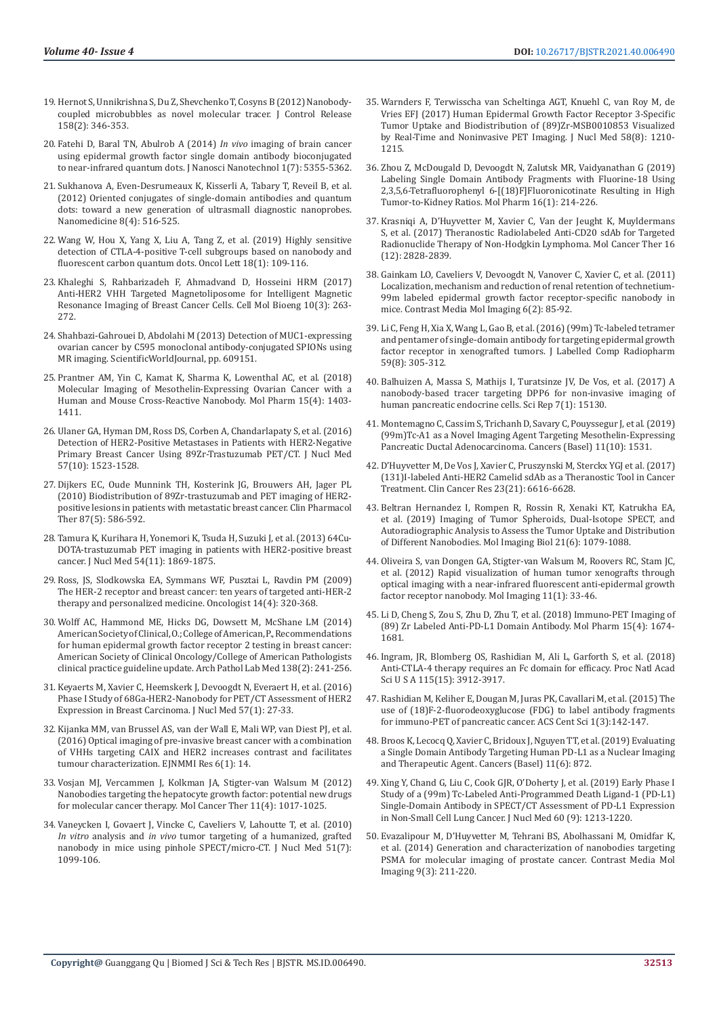- 19. [Hernot S, Unnikrishna S, Du Z, Shevchenko T, Cosyns B \(2012\) Nanobody](https://www.ncbi.nlm.nih.gov/pmc/articles/PMC3294017/)[coupled microbubbles as novel molecular tracer. J Control Release](https://www.ncbi.nlm.nih.gov/pmc/articles/PMC3294017/)  [158\(2\): 346-353.](https://www.ncbi.nlm.nih.gov/pmc/articles/PMC3294017/)
- 20. Fatehi D, Baral TN, Abulrob A (2014) *In vivo* imaging of brain cancer using epidermal growth factor single domain antibody bioconjugated to near-infrared quantum dots. J Nanosci Nanotechnol 1(7): 5355-5362.
- 21. [Sukhanova A, Even-Desrumeaux K, Kisserli A, Tabary T, Reveil B, et al.](https://pubmed.ncbi.nlm.nih.gov/21839049/)  [\(2012\) Oriented conjugates of single-domain antibodies and quantum](https://pubmed.ncbi.nlm.nih.gov/21839049/)  [dots: toward a new generation of ultrasmall diagnostic nanoprobes.](https://pubmed.ncbi.nlm.nih.gov/21839049/)  [Nanomedicine 8\(4\): 516-525.](https://pubmed.ncbi.nlm.nih.gov/21839049/)
- 22. [Wang W, Hou X, Yang X, Liu A, Tang Z, et al. \(2019\) Highly sensitive](https://pubmed.ncbi.nlm.nih.gov/31289479/)  [detection of CTLA-4-positive T-cell subgroups based on nanobody and](https://pubmed.ncbi.nlm.nih.gov/31289479/)  [fluorescent carbon quantum dots. Oncol Lett 18\(1\): 109-116.](https://pubmed.ncbi.nlm.nih.gov/31289479/)
- 23. Khaleghi S, Rahbarizadeh F, Ahmadvand D, Hosseini HRM (2017) Anti-HER2 VHH Targeted Magnetoliposome for Intelligent Magnetic Resonance Imaging of Breast Cancer Cells. Cell Mol Bioeng 10(3): 263- 272.
- 24. Shahbazi-Gahrouei D, Abdolahi M (2013) Detection of MUC1-expressing ovarian cancer by C595 monoclonal antibody-conjugated SPIONs using MR imaging. ScientificWorldJournal, pp. 609151.
- 25. [Prantner AM, Yin C, Kamat K, Sharma K, Lowenthal AC, et al. \(2018\)](https://pubmed.ncbi.nlm.nih.gov/29462558/)  [Molecular Imaging of Mesothelin-Expressing Ovarian Cancer with a](https://pubmed.ncbi.nlm.nih.gov/29462558/)  [Human and Mouse Cross-Reactive Nanobody. Mol Pharm 15\(4\): 1403-](https://pubmed.ncbi.nlm.nih.gov/29462558/) [1411.](https://pubmed.ncbi.nlm.nih.gov/29462558/)
- 26. [Ulaner GA, Hyman DM, Ross DS, Corben A, Chandarlapaty S, et al. \(2016\)](https://pubmed.ncbi.nlm.nih.gov/27151988/)  [Detection of HER2-Positive Metastases in Patients with HER2-Negative](https://pubmed.ncbi.nlm.nih.gov/27151988/)  [Primary Breast Cancer Using 89Zr-Trastuzumab PET/CT. J Nucl Med](https://pubmed.ncbi.nlm.nih.gov/27151988/)  [57\(10\): 1523-1528.](https://pubmed.ncbi.nlm.nih.gov/27151988/)
- 27. [Dijkers EC, Oude Munnink TH, Kosterink JG, Brouwers AH, Jager PL](https://pubmed.ncbi.nlm.nih.gov/20357763/)  [\(2010\) Biodistribution of 89Zr-trastuzumab and PET imaging of HER2](https://pubmed.ncbi.nlm.nih.gov/20357763/) [positive lesions in patients with metastatic breast cancer. Clin Pharmacol](https://pubmed.ncbi.nlm.nih.gov/20357763/)  [Ther 87\(5\): 586-592.](https://pubmed.ncbi.nlm.nih.gov/20357763/)
- 28. [Tamura K, Kurihara H, Yonemori K, Tsuda H, Suzuki J, et al. \(2013\) 64Cu-](https://pubmed.ncbi.nlm.nih.gov/24029656/)[DOTA-trastuzumab PET imaging in patients with HER2-positive breast](https://pubmed.ncbi.nlm.nih.gov/24029656/)  [cancer. J Nucl Med 54\(11\): 1869-1875.](https://pubmed.ncbi.nlm.nih.gov/24029656/)
- 29. [Ross, JS, Slodkowska EA, Symmans WF, Pusztai L, Ravdin PM \(2009\)](https://pubmed.ncbi.nlm.nih.gov/19346299/)  [The HER-2 receptor and breast cancer: ten years of targeted anti-HER-2](https://pubmed.ncbi.nlm.nih.gov/19346299/)  [therapy and personalized medicine. Oncologist 14\(4\): 320-368.](https://pubmed.ncbi.nlm.nih.gov/19346299/)
- 30. Wolff AC, Hammond ME, Hicks DG, Dowsett M, McShane LM (2014) American Society of Clinical, O.; College of American, P., Recommendations for human epidermal growth factor receptor 2 testing in breast cancer: American Society of Clinical Oncology/College of American Pathologists clinical practice guideline update. Arch Pathol Lab Med 138(2): 241-256.
- 31. [Keyaerts M, Xavier C, Heemskerk J, Devoogdt N, Everaert H, et al. \(2016\)](https://pubmed.ncbi.nlm.nih.gov/26449837/)  [Phase I Study of 68Ga-HER2-Nanobody for PET/CT Assessment of HER2](https://pubmed.ncbi.nlm.nih.gov/26449837/)  [Expression in Breast Carcinoma. J Nucl Med 57\(1\): 27-33.](https://pubmed.ncbi.nlm.nih.gov/26449837/)
- 32. [Kijanka MM, van Brussel AS, van der Wall E, Mali WP, van Diest PJ, et al.](https://ejnmmires.springeropen.com/articles/10.1186/s13550-016-0166-y)  [\(2016\) Optical imaging of pre-invasive breast cancer with a combination](https://ejnmmires.springeropen.com/articles/10.1186/s13550-016-0166-y)  [of VHHs targeting CAIX and HER2 increases contrast and facilitates](https://ejnmmires.springeropen.com/articles/10.1186/s13550-016-0166-y)  [tumour characterization. EJNMMI Res 6\(1\): 14.](https://ejnmmires.springeropen.com/articles/10.1186/s13550-016-0166-y)
- 33. [Vosjan MJ, Vercammen J, Kolkman JA, Stigter-van Walsum M \(2012\)](https://pubmed.ncbi.nlm.nih.gov/22319202/)  [Nanobodies targeting the hepatocyte growth factor: potential new drugs](https://pubmed.ncbi.nlm.nih.gov/22319202/)  [for molecular cancer therapy. Mol Cancer Ther 11\(4\): 1017-1025.](https://pubmed.ncbi.nlm.nih.gov/22319202/)
- 34. [Vaneycken I, Govaert J, Vincke C, Caveliers V, Lahoutte T, et al. \(2010\)](https://pubmed.ncbi.nlm.nih.gov/20554727/)  *In vitro* analysis and *in vivo* [tumor targeting of a humanized, grafted](https://pubmed.ncbi.nlm.nih.gov/20554727/)  [nanobody in mice using pinhole SPECT/micro-CT. J Nucl Med 51\(7\):](https://pubmed.ncbi.nlm.nih.gov/20554727/)  [1099-106.](https://pubmed.ncbi.nlm.nih.gov/20554727/)
- 35. [Warnders F, Terwisscha van Scheltinga AGT, Knuehl C, van Roy M, de](https://pubmed.ncbi.nlm.nih.gov/28360206/) [Vries EFJ \(2017\) Human Epidermal Growth Factor Receptor 3-Specific](https://pubmed.ncbi.nlm.nih.gov/28360206/) [Tumor Uptake and Biodistribution of \(89\)Zr-MSB0010853 Visualized](https://pubmed.ncbi.nlm.nih.gov/28360206/) [by Real-Time and Noninvasive PET Imaging. J Nucl Med 58\(8\): 1210-](https://pubmed.ncbi.nlm.nih.gov/28360206/) [1215.](https://pubmed.ncbi.nlm.nih.gov/28360206/)
- 36. [Zhou Z, McDougald D, Devoogdt N, Zalutsk MR, Vaidyanathan G \(2019\)](https://pubmed.ncbi.nlm.nih.gov/30427188/) [Labeling Single Domain Antibody Fragments with Fluorine-18 Using](https://pubmed.ncbi.nlm.nih.gov/30427188/) [2,3,5,6-Tetrafluorophenyl 6-\[\(18\)F\]Fluoronicotinate Resulting in High](https://pubmed.ncbi.nlm.nih.gov/30427188/) [Tumor-to-Kidney Ratios. Mol Pharm 16\(1\): 214-226.](https://pubmed.ncbi.nlm.nih.gov/30427188/)
- 37. [Krasniqi A, D'Huyvetter M, Xavier C, Van der Jeught K, Muyldermans](https://pubmed.ncbi.nlm.nih.gov/29054987/) [S, et al. \(2017\) Theranostic Radiolabeled Anti-CD20 sdAb for Targeted](https://pubmed.ncbi.nlm.nih.gov/29054987/) [Radionuclide Therapy of Non-Hodgkin Lymphoma. Mol Cancer Ther 16](https://pubmed.ncbi.nlm.nih.gov/29054987/) [\(12\): 2828-2839.](https://pubmed.ncbi.nlm.nih.gov/29054987/)
- 38. [Gainkam LO, Caveliers V, Devoogdt N, Vanover C, Xavier C, et al. \(2011\)](https://pubmed.ncbi.nlm.nih.gov/20936711/) [Localization, mechanism and reduction of renal retention of technetium-](https://pubmed.ncbi.nlm.nih.gov/20936711/)[99m labeled epidermal growth factor receptor-specific nanobody in](https://pubmed.ncbi.nlm.nih.gov/20936711/) [mice. Contrast Media Mol Imaging 6\(2\): 85-92.](https://pubmed.ncbi.nlm.nih.gov/20936711/)
- 39. [Li C, Feng H, Xia X, Wang L, Gao B, et al. \(2016\) \(99m\) Tc-labeled tetramer](https://pubmed.ncbi.nlm.nih.gov/27123559/) [and pentamer of single-domain antibody for targeting epidermal growth](https://pubmed.ncbi.nlm.nih.gov/27123559/) [factor receptor in xenografted tumors. J Labelled Comp Radiopharm](https://pubmed.ncbi.nlm.nih.gov/27123559/) [59\(8\): 305-312.](https://pubmed.ncbi.nlm.nih.gov/27123559/)
- 40. [Balhuizen A, Massa S, Mathijs I, Turatsinze JV, De Vos, et al. \(2017\) A](https://www.ncbi.nlm.nih.gov/pmc/articles/PMC5680294/) [nanobody-based tracer targeting DPP6 for non-invasive imaging of](https://www.ncbi.nlm.nih.gov/pmc/articles/PMC5680294/) [human pancreatic endocrine cells. Sci Rep 7\(1\): 15130.](https://www.ncbi.nlm.nih.gov/pmc/articles/PMC5680294/)
- 41. [Montemagno C, Cassim S, Trichanh D, Savary C, Pouyssegur J, et al. \(2019\)](https://pubmed.ncbi.nlm.nih.gov/31658755/) [\(99m\)Tc-A1 as a Novel Imaging Agent Targeting Mesothelin-Expressing](https://pubmed.ncbi.nlm.nih.gov/31658755/) [Pancreatic Ductal Adenocarcinoma. Cancers \(Basel\) 11\(10\): 1531.](https://pubmed.ncbi.nlm.nih.gov/31658755/)
- 42. [D'Huyvetter M, De Vos J, Xavier C, Pruszynski M, Sterckx YGJ et al. \(2017\)](https://pubmed.ncbi.nlm.nih.gov/28751451/) [\(131\)I-labeled Anti-HER2 Camelid sdAb as a Theranostic Tool in Cancer](https://pubmed.ncbi.nlm.nih.gov/28751451/) [Treatment. Clin Cancer Res 23\(21\): 6616-6628.](https://pubmed.ncbi.nlm.nih.gov/28751451/)
- 43. [Beltran Hernandez I, Rompen R, Rossin R, Xenaki KT, Katrukha EA,](https://pubmed.ncbi.nlm.nih.gov/30859470/) [et al. \(2019\) Imaging of Tumor Spheroids, Dual-Isotope SPECT, and](https://pubmed.ncbi.nlm.nih.gov/30859470/) [Autoradiographic Analysis to Assess the Tumor Uptake and Distribution](https://pubmed.ncbi.nlm.nih.gov/30859470/) [of Different Nanobodies. Mol Imaging Biol 21\(6\): 1079-1088.](https://pubmed.ncbi.nlm.nih.gov/30859470/)
- 44. [Oliveira S, van Dongen GA, Stigter-van Walsum M, Roovers RC, Stam JC,](https://pubmed.ncbi.nlm.nih.gov/22418026/) [et al. \(2012\) Rapid visualization of human tumor xenografts through](https://pubmed.ncbi.nlm.nih.gov/22418026/) [optical imaging with a near-infrared fluorescent anti-epidermal growth](https://pubmed.ncbi.nlm.nih.gov/22418026/) [factor receptor nanobody. Mol Imaging 11\(1\): 33-46.](https://pubmed.ncbi.nlm.nih.gov/22418026/)
- 45. [Li D, Cheng S, Zou S, Zhu D, Zhu T, et al. \(2018\) Immuno-PET Imaging of](https://pubmed.ncbi.nlm.nih.gov/29502426/) [\(89\) Zr Labeled Anti-PD-L1 Domain Antibody. Mol Pharm 15\(4\): 1674-](https://pubmed.ncbi.nlm.nih.gov/29502426/) [1681.](https://pubmed.ncbi.nlm.nih.gov/29502426/)
- 46. [Ingram, JR, Blomberg OS, Rashidian M, Ali L, Garforth S, et al. \(2018\)](https://pubmed.ncbi.nlm.nih.gov/29581255/) [Anti-CTLA-4 therapy requires an Fc domain for efficacy. Proc Natl Acad](https://pubmed.ncbi.nlm.nih.gov/29581255/) [Sci U S A 115\(15\): 3912-3917.](https://pubmed.ncbi.nlm.nih.gov/29581255/)
- 47. [Rashidian M, Keliher E, Dougan M, Juras PK, Cavallari M, et al. \(2015\) The](https://pubmed.ncbi.nlm.nih.gov/26955657/) [use of \(18\)F-2-fluorodeoxyglucose \(FDG\) to label antibody fragments](https://pubmed.ncbi.nlm.nih.gov/26955657/) [for immuno-PET of pancreatic cancer. ACS Cent Sci 1\(3\):142-147.](https://pubmed.ncbi.nlm.nih.gov/26955657/)
- 48. [Broos K, Lecocq Q, Xavier C, Bridoux J, Nguyen TT, et al. \(2019\) Evaluating](https://pubmed.ncbi.nlm.nih.gov/31234464/) [a Single Domain Antibody Targeting Human PD-L1 as a Nuclear Imaging](https://pubmed.ncbi.nlm.nih.gov/31234464/) [and Therapeutic Agent. Cancers \(Basel\) 11\(6\): 872.](https://pubmed.ncbi.nlm.nih.gov/31234464/)
- 49. [Xing Y, Chand G, Liu C, Cook GJR, O'Doherty J, et al. \(2019\) Early Phase I](https://pubmed.ncbi.nlm.nih.gov/30796165/) [Study of a \(99m\) Tc-Labeled Anti-Programmed Death Ligand-1 \(PD-L1\)](https://pubmed.ncbi.nlm.nih.gov/30796165/) [Single-Domain Antibody in SPECT/CT Assessment of PD-L1 Expression](https://pubmed.ncbi.nlm.nih.gov/30796165/) [in Non-Small Cell Lung Cancer. J Nucl Med 60 \(9\): 1213-1220.](https://pubmed.ncbi.nlm.nih.gov/30796165/)
- 50. Evazalipour M, D'Huyvetter M, Tehrani BS, Abolhassani M, Omidfar K, et al. (2014) Generation and characterization of nanobodies targeting PSMA for molecular imaging of prostate cancer. Contrast Media Mol Imaging 9(3): 211-220.